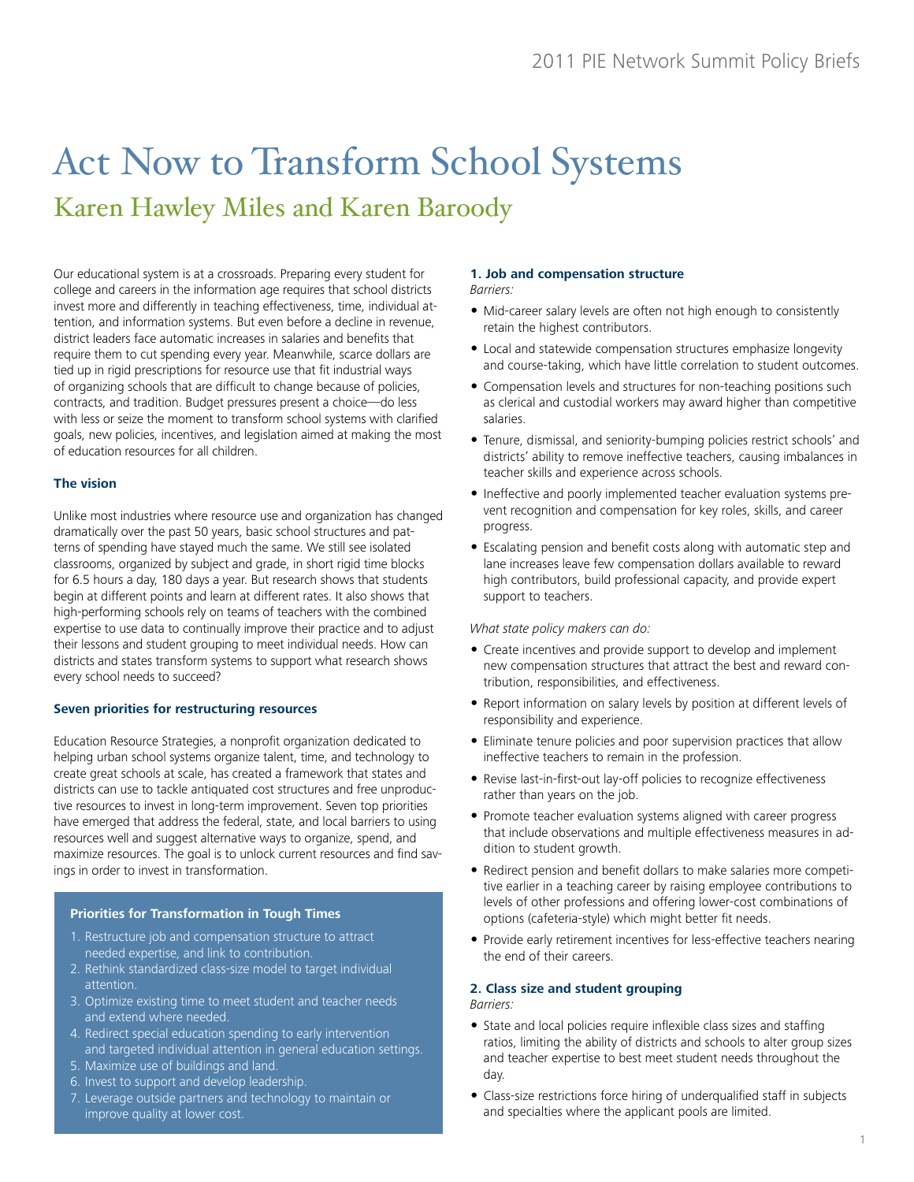# Act Now to Transform School Systems Karen Hawley Miles and Karen Baroody

Our educational system is at a crossroads. Preparing every student for college and careers in the information age requires that school districts invest more and differently in teaching effectiveness, time, individual attention, and information systems. But even before a decline in revenue, district leaders face automatic increases in salaries and benefits that require them to cut spending every year. Meanwhile, scarce dollars are tied up in rigid prescriptions for resource use that fit industrial ways of organizing schools that are difficult to change because of policies, contracts, and tradition. Budget pressures present a choice—do less with less or seize the moment to transform school systems with clarified goals, new policies, incentives, and legislation aimed at making the most of education resources for all children.

# **The vision**

Unlike most industries where resource use and organization has changed dramatically over the past 50 years, basic school structures and patterns of spending have stayed much the same. We still see isolated classrooms, organized by subject and grade, in short rigid time blocks for 6.5 hours a day, 180 days a year. But research shows that students begin at different points and learn at different rates. It also shows that high-performing schools rely on teams of teachers with the combined expertise to use data to continually improve their practice and to adjust their lessons and student grouping to meet individual needs. How can districts and states transform systems to support what research shows every school needs to succeed?

# **Seven priorities for restructuring resources**

Education Resource Strategies, a nonprofit organization dedicated to helping urban school systems organize talent, time, and technology to create great schools at scale, has created a framework that states and districts can use to tackle antiquated cost structures and free unproductive resources to invest in long-term improvement. Seven top priorities have emerged that address the federal, state, and local barriers to using resources well and suggest alternative ways to organize, spend, and maximize resources. The goal is to unlock current resources and find savings in order to invest in transformation.

## **Priorities for Transformation in Tough Times**

- 1. Restructure job and compensation structure to attract needed expertise, and link to contribution.
- 2. Rethink standardized class-size model to target individual attention.
- 3. Optimize existing time to meet student and teacher needs and extend where needed
- 4. Redirect special education spending to early intervention and targeted individual attention in general education settings.
- 5. Maximize use of buildings and land.
- 6. Invest to support and develop leadership.
- 7. Leverage outside partners and technology to maintain or improve quality at lower cost.

#### **1. Job and compensation structure**  *Barriers:*

- Mid-career salary levels are often not high enough to consistently retain the highest contributors.
- • Local and statewide compensation structures emphasize longevity and course-taking, which have little correlation to student outcomes.
- Compensation levels and structures for non-teaching positions such as clerical and custodial workers may award higher than competitive salaries.
- Tenure, dismissal, and seniority-bumping policies restrict schools' and districts' ability to remove ineffective teachers, causing imbalances in teacher skills and experience across schools.
- Ineffective and poorly implemented teacher evaluation systems prevent recognition and compensation for key roles, skills, and career progress.
- Escalating pension and benefit costs along with automatic step and lane increases leave few compensation dollars available to reward high contributors, build professional capacity, and provide expert support to teachers.

## *What state policy makers can do:*

- Create incentives and provide support to develop and implement new compensation structures that attract the best and reward contribution, responsibilities, and effectiveness.
- Report information on salary levels by position at different levels of responsibility and experience.
- Eliminate tenure policies and poor supervision practices that allow ineffective teachers to remain in the profession.
- Revise last-in-first-out lay-off policies to recognize effectiveness rather than years on the job.
- Promote teacher evaluation systems aligned with career progress that include observations and multiple effectiveness measures in addition to student growth.
- Redirect pension and benefit dollars to make salaries more competitive earlier in a teaching career by raising employee contributions to levels of other professions and offering lower-cost combinations of options (cafeteria-style) which might better fit needs.
- Provide early retirement incentives for less-effective teachers nearing the end of their careers.

## **2. Class size and student grouping**

*Barriers:* 

- State and local policies require inflexible class sizes and staffing ratios, limiting the ability of districts and schools to alter group sizes and teacher expertise to best meet student needs throughout the day.
- Class-size restrictions force hiring of underqualified staff in subjects and specialties where the applicant pools are limited.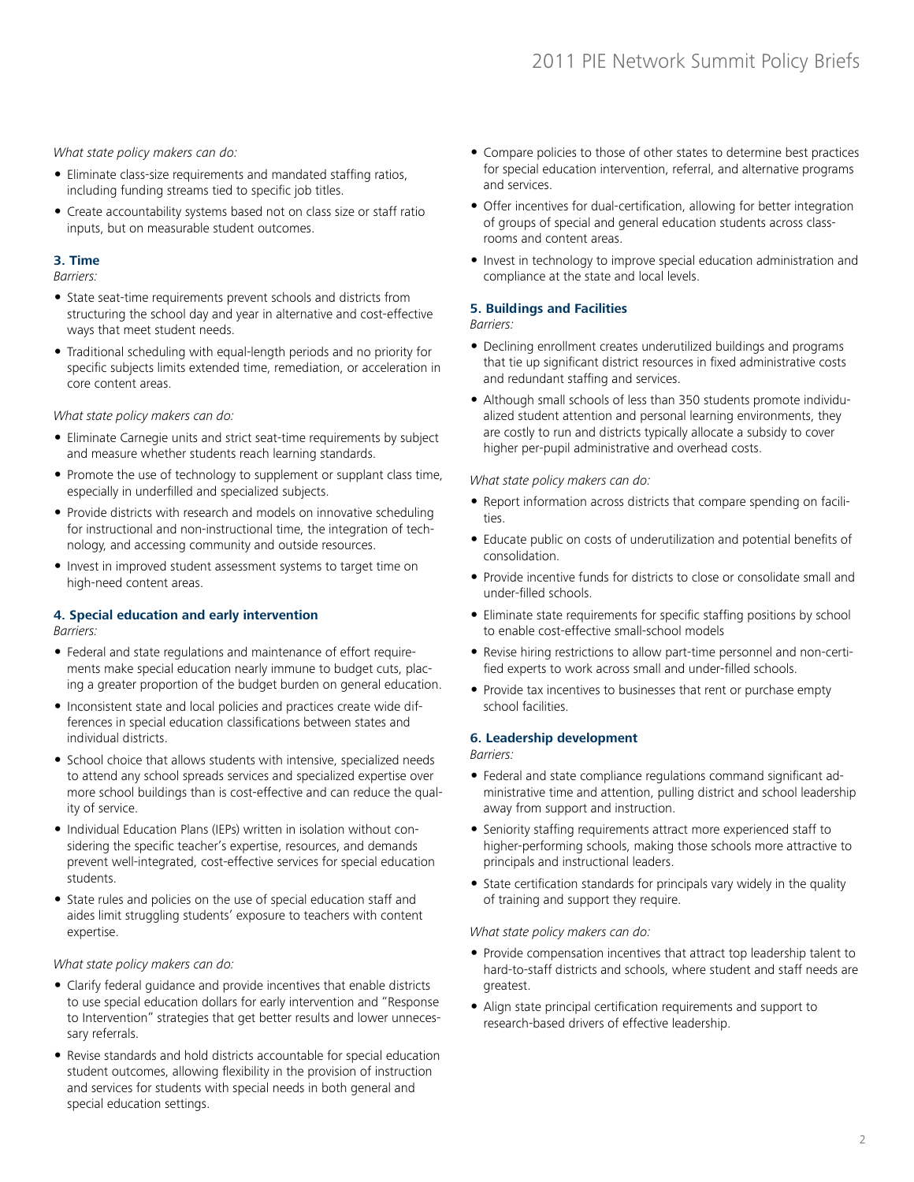*What state policy makers can do:*

- Eliminate class-size requirements and mandated staffing ratios, including funding streams tied to specific job titles.
- Create accountability systems based not on class size or staff ratio inputs, but on measurable student outcomes.

# **3. Time**

*Barriers:*

- State seat-time requirements prevent schools and districts from structuring the school day and year in alternative and cost-effective ways that meet student needs.
- Traditional scheduling with equal-length periods and no priority for specific subjects limits extended time, remediation, or acceleration in core content areas.

*What state policy makers can do:*

- Eliminate Carnegie units and strict seat-time requirements by subject and measure whether students reach learning standards.
- Promote the use of technology to supplement or supplant class time, especially in underfilled and specialized subjects.
- Provide districts with research and models on innovative scheduling for instructional and non-instructional time, the integration of technology, and accessing community and outside resources.
- Invest in improved student assessment systems to target time on high-need content areas.

# **4. Special education and early intervention**

*Barriers:*

- Federal and state regulations and maintenance of effort requirements make special education nearly immune to budget cuts, placing a greater proportion of the budget burden on general education.
- Inconsistent state and local policies and practices create wide differences in special education classifications between states and individual districts.
- School choice that allows students with intensive, specialized needs to attend any school spreads services and specialized expertise over more school buildings than is cost-effective and can reduce the quality of service.
- Individual Education Plans (IEPs) written in isolation without considering the specific teacher's expertise, resources, and demands prevent well-integrated, cost-effective services for special education students.
- State rules and policies on the use of special education staff and aides limit struggling students' exposure to teachers with content expertise.

## *What state policy makers can do:*

- Clarify federal guidance and provide incentives that enable districts to use special education dollars for early intervention and "Response to Intervention" strategies that get better results and lower unnecessary referrals.
- Revise standards and hold districts accountable for special education student outcomes, allowing flexibility in the provision of instruction and services for students with special needs in both general and special education settings.
- Compare policies to those of other states to determine best practices for special education intervention, referral, and alternative programs and services.
- Offer incentives for dual-certification, allowing for better integration of groups of special and general education students across classrooms and content areas.
- Invest in technology to improve special education administration and compliance at the state and local levels.

# **5. Buildings and Facilities**

*Barriers:*

- Declining enrollment creates underutilized buildings and programs that tie up significant district resources in fixed administrative costs and redundant staffing and services.
- Although small schools of less than 350 students promote individualized student attention and personal learning environments, they are costly to run and districts typically allocate a subsidy to cover higher per-pupil administrative and overhead costs.

## *What state policy makers can do:*

- Report information across districts that compare spending on facilities.
- Educate public on costs of underutilization and potential benefits of consolidation.
- Provide incentive funds for districts to close or consolidate small and under-filled schools.
- Eliminate state requirements for specific staffing positions by school to enable cost-effective small-school models
- Revise hiring restrictions to allow part-time personnel and non-certified experts to work across small and under-filled schools.
- Provide tax incentives to businesses that rent or purchase empty school facilities.

## **6. Leadership development**

*Barriers:*

- Federal and state compliance regulations command significant administrative time and attention, pulling district and school leadership away from support and instruction.
- Seniority staffing requirements attract more experienced staff to higher-performing schools, making those schools more attractive to principals and instructional leaders.
- State certification standards for principals vary widely in the quality of training and support they require.

## *What state policy makers can do:*

- Provide compensation incentives that attract top leadership talent to hard-to-staff districts and schools, where student and staff needs are greatest.
- Align state principal certification requirements and support to research-based drivers of effective leadership.